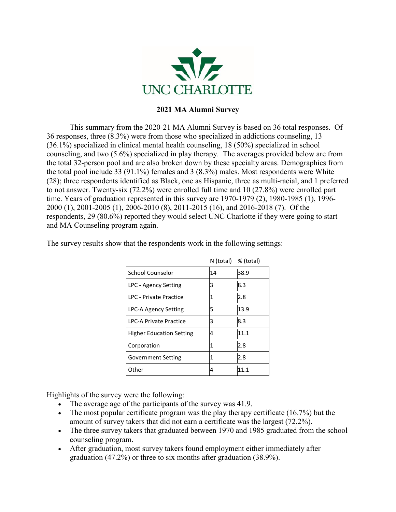

## **2021 MA Alumni Survey**

This summary from the 2020-21 MA Alumni Survey is based on 36 total responses. Of 36 responses, three (8.3%) were from those who specialized in addictions counseling, 13 (36.1%) specialized in clinical mental health counseling, 18 (50%) specialized in school counseling, and two (5.6%) specialized in play therapy. The averages provided below are from the total 32-person pool and are also broken down by these specialty areas. Demographics from the total pool include 33 (91.1%) females and 3 (8.3%) males. Most respondents were White (28); three respondents identified as Black, one as Hispanic, three as multi-racial, and 1 preferred to not answer. Twenty-six (72.2%) were enrolled full time and 10 (27.8%) were enrolled part time. Years of graduation represented in this survey are 1970-1979 (2), 1980-1985 (1), 1996- 2000 (1), 2001-2005 (1), 2006-2010 (8), 2011-2015 (16), and 2016-2018 (7). Of the respondents, 29 (80.6%) reported they would select UNC Charlotte if they were going to start and MA Counseling program again.

|                                 | $N$ (total) $%$ (total) |      |
|---------------------------------|-------------------------|------|
| School Counselor                | 14                      | 38.9 |
| LPC - Agency Setting            | 3                       | 8.3  |
| LPC - Private Practice          | 1                       | 2.8  |
| <b>LPC-A Agency Setting</b>     | 5                       | 13.9 |
| <b>LPC-A Private Practice</b>   | 3                       | 8.3  |
| <b>Higher Education Setting</b> | 4                       | 11.1 |
| Corporation                     | 1                       | 2.8  |
| <b>Government Setting</b>       | 1                       | 2.8  |
| Other                           | 4                       | 11.1 |

The survey results show that the respondents work in the following settings:

Highlights of the survey were the following:

- The average age of the participants of the survey was 41.9.
- The most popular certificate program was the play therapy certificate (16.7%) but the amount of survey takers that did not earn a certificate was the largest (72.2%).
- The three survey takers that graduated between 1970 and 1985 graduated from the school counseling program.
- After graduation, most survey takers found employment either immediately after graduation (47.2%) or three to six months after graduation (38.9%).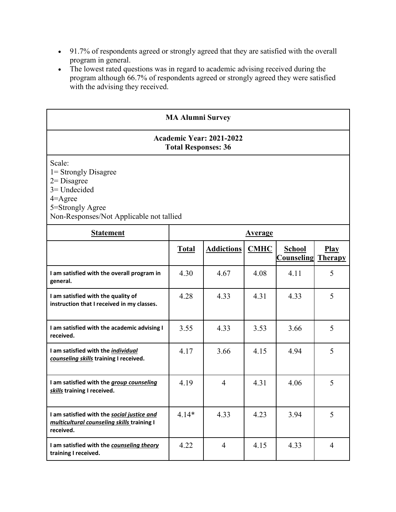- 91.7% of respondents agreed or strongly agreed that they are satisfied with the overall program in general.
- The lowest rated questions was in regard to academic advising received during the program although 66.7% of respondents agreed or strongly agreed they were satisfied with the advising they received.

| <b>MA Alumni Survey</b>                                                                                                                             |                |                   |             |                             |                               |  |  |  |
|-----------------------------------------------------------------------------------------------------------------------------------------------------|----------------|-------------------|-------------|-----------------------------|-------------------------------|--|--|--|
| <b>Academic Year: 2021-2022</b><br><b>Total Responses: 36</b>                                                                                       |                |                   |             |                             |                               |  |  |  |
| Scale:<br>1 = Strongly Disagree<br>$2 = Disagree$<br>$3 =$ Undecided<br>$4 =$ Agree<br>5=Strongly Agree<br>Non-Responses/Not Applicable not tallied |                |                   |             |                             |                               |  |  |  |
| <b>Statement</b>                                                                                                                                    | <b>Average</b> |                   |             |                             |                               |  |  |  |
|                                                                                                                                                     | <b>Total</b>   | <b>Addictions</b> | <b>CMHC</b> | <b>School</b><br>Counseling | <b>Play</b><br><b>Therapy</b> |  |  |  |
| I am satisfied with the overall program in<br>general.                                                                                              | 4.30           | 4.67              | 4.08        | 4.11                        | 5                             |  |  |  |
| I am satisfied with the quality of<br>instruction that I received in my classes.                                                                    | 4.28           | 4.33              | 4.31        | 4.33                        | 5                             |  |  |  |
| I am satisfied with the academic advising I<br>received.                                                                                            | 3.55           | 4.33              | 3.53        | 3.66                        | 5                             |  |  |  |
| I am satisfied with the individual<br>counseling skills training I received.                                                                        | 4.17           | 3.66              | 4.15        | 4.94                        | 5                             |  |  |  |
| I am satisfied with the group counseling<br>skills training I received.                                                                             | 4.19           | $\overline{4}$    | 4.31        | 4.06                        | 5                             |  |  |  |
| I am satisfied with the social justice and<br>multicultural counseling skills training I<br>received.                                               | $4.14*$        | 4.33              | 4.23        | 3.94                        | 5                             |  |  |  |
| I am satisfied with the counseling theory<br>training I received.                                                                                   | 4.22           | $\overline{4}$    | 4.15        | 4.33                        | $\overline{4}$                |  |  |  |